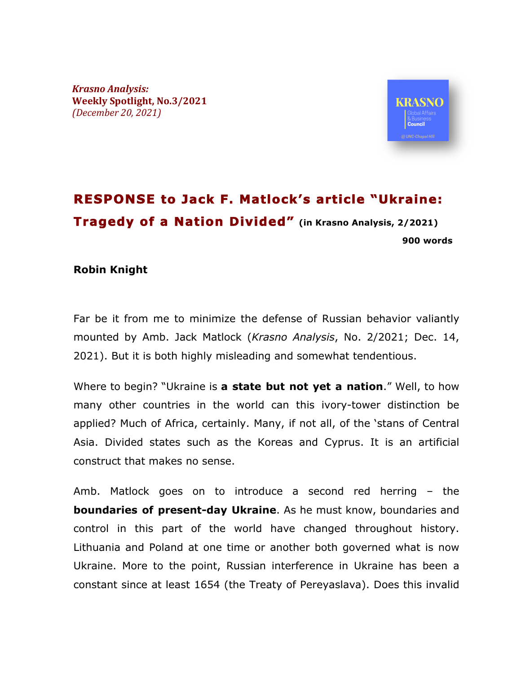*Krasno Analysis:* **Weekly Spotlight, No.3/2021** *(December 20, 2021)*



## **RESPONSE to Jack F. Matlock's article "Ukraine: Tragedy of a Nation Divided" (in Krasno Analysis, 2/2021) 900 words**

## **Robin Knight**

Far be it from me to minimize the defense of Russian behavior valiantly mounted by Amb. Jack Matlock (*Krasno Analysis*, No. 2/2021; Dec. 14, 2021). But it is both highly misleading and somewhat tendentious.

Where to begin? "Ukraine is **a state but not yet a nation**." Well, to how many other countries in the world can this ivory-tower distinction be applied? Much of Africa, certainly. Many, if not all, of the 'stans of Central Asia. Divided states such as the Koreas and Cyprus. It is an artificial construct that makes no sense.

Amb. Matlock goes on to introduce a second red herring – the **boundaries of present-day Ukraine**. As he must know, boundaries and control in this part of the world have changed throughout history. Lithuania and Poland at one time or another both governed what is now Ukraine. More to the point, Russian interference in Ukraine has been a constant since at least 1654 (the Treaty of Pereyaslava). Does this invalid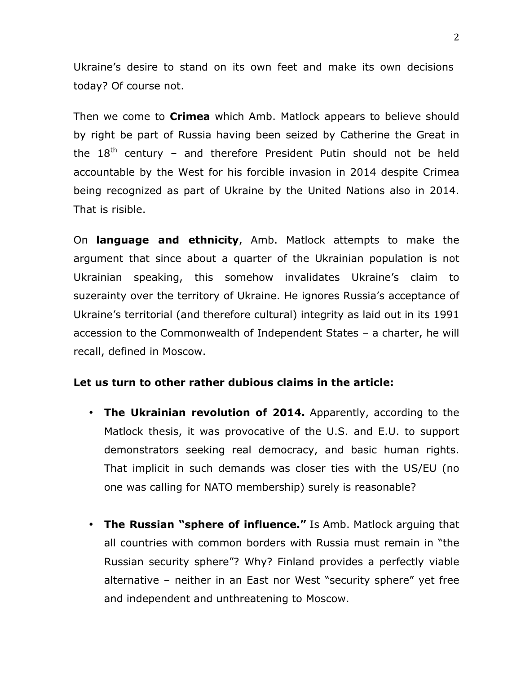Ukraine's desire to stand on its own feet and make its own decisions today? Of course not.

Then we come to **Crimea** which Amb. Matlock appears to believe should by right be part of Russia having been seized by Catherine the Great in the  $18<sup>th</sup>$  century – and therefore President Putin should not be held accountable by the West for his forcible invasion in 2014 despite Crimea being recognized as part of Ukraine by the United Nations also in 2014. That is risible.

On **language and ethnicity**, Amb. Matlock attempts to make the argument that since about a quarter of the Ukrainian population is not Ukrainian speaking, this somehow invalidates Ukraine's claim to suzerainty over the territory of Ukraine. He ignores Russia's acceptance of Ukraine's territorial (and therefore cultural) integrity as laid out in its 1991 accession to the Commonwealth of Independent States – a charter, he will recall, defined in Moscow.

## **Let us turn to other rather dubious claims in the article:**

- **The Ukrainian revolution of 2014.** Apparently, according to the Matlock thesis, it was provocative of the U.S. and E.U. to support demonstrators seeking real democracy, and basic human rights. That implicit in such demands was closer ties with the US/EU (no one was calling for NATO membership) surely is reasonable?
- **The Russian "sphere of influence."** Is Amb. Matlock arguing that all countries with common borders with Russia must remain in "the Russian security sphere"? Why? Finland provides a perfectly viable alternative – neither in an East nor West "security sphere" yet free and independent and unthreatening to Moscow.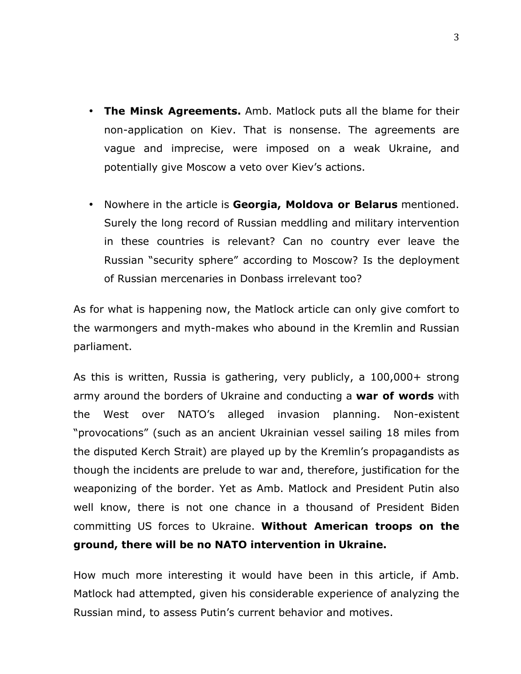- **The Minsk Agreements.** Amb. Matlock puts all the blame for their non-application on Kiev. That is nonsense. The agreements are vague and imprecise, were imposed on a weak Ukraine, and potentially give Moscow a veto over Kiev's actions.
- Nowhere in the article is **Georgia, Moldova or Belarus** mentioned. Surely the long record of Russian meddling and military intervention in these countries is relevant? Can no country ever leave the Russian "security sphere" according to Moscow? Is the deployment of Russian mercenaries in Donbass irrelevant too?

As for what is happening now, the Matlock article can only give comfort to the warmongers and myth-makes who abound in the Kremlin and Russian parliament.

As this is written, Russia is gathering, very publicly, a 100,000+ strong army around the borders of Ukraine and conducting a **war of words** with the West over NATO's alleged invasion planning. Non-existent "provocations" (such as an ancient Ukrainian vessel sailing 18 miles from the disputed Kerch Strait) are played up by the Kremlin's propagandists as though the incidents are prelude to war and, therefore, justification for the weaponizing of the border. Yet as Amb. Matlock and President Putin also well know, there is not one chance in a thousand of President Biden committing US forces to Ukraine. **Without American troops on the ground, there will be no NATO intervention in Ukraine.**

How much more interesting it would have been in this article, if Amb. Matlock had attempted, given his considerable experience of analyzing the Russian mind, to assess Putin's current behavior and motives.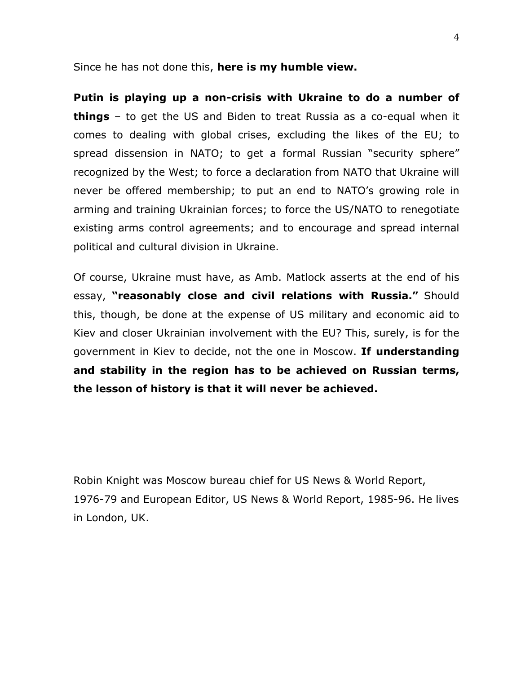Since he has not done this, **here is my humble view.**

**Putin is playing up a non-crisis with Ukraine to do a number of things** – to get the US and Biden to treat Russia as a co-equal when it comes to dealing with global crises, excluding the likes of the EU; to spread dissension in NATO; to get a formal Russian "security sphere" recognized by the West; to force a declaration from NATO that Ukraine will never be offered membership; to put an end to NATO's growing role in arming and training Ukrainian forces; to force the US/NATO to renegotiate existing arms control agreements; and to encourage and spread internal political and cultural division in Ukraine.

Of course, Ukraine must have, as Amb. Matlock asserts at the end of his essay, **"reasonably close and civil relations with Russia."** Should this, though, be done at the expense of US military and economic aid to Kiev and closer Ukrainian involvement with the EU? This, surely, is for the government in Kiev to decide, not the one in Moscow. **If understanding and stability in the region has to be achieved on Russian terms, the lesson of history is that it will never be achieved.** 

Robin Knight was Moscow bureau chief for US News & World Report, 1976-79 and European Editor, US News & World Report, 1985-96. He lives in London, UK.